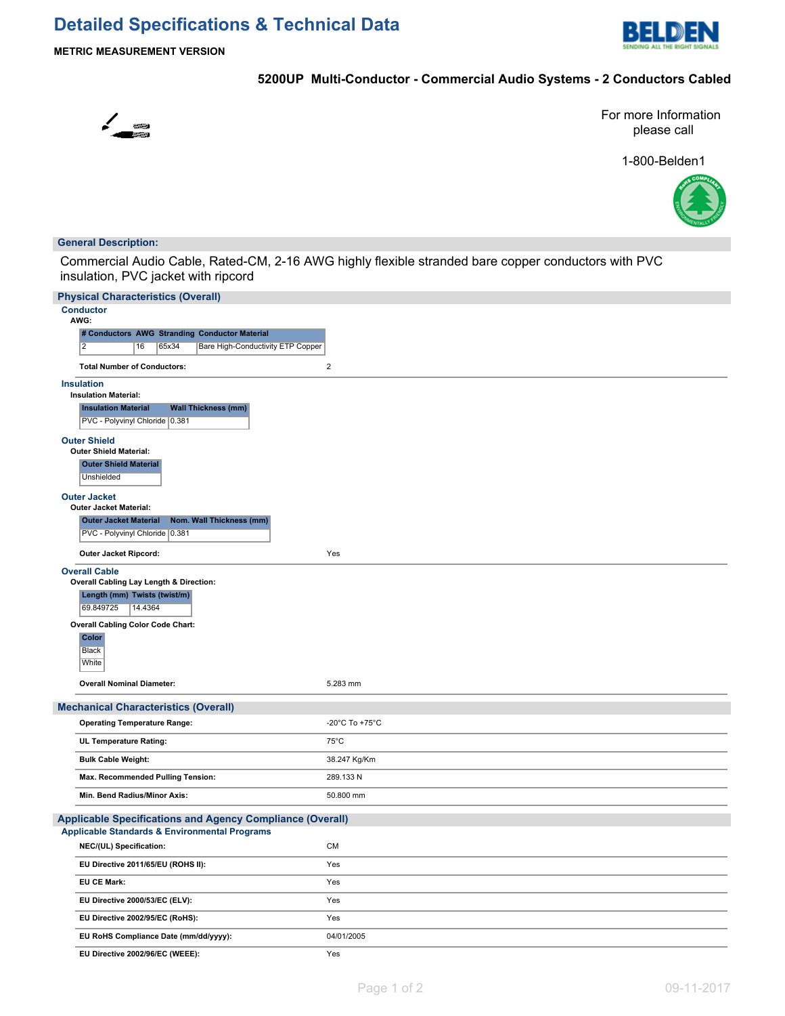# **Detailed Specifications & Technical Data**



**METRIC MEASUREMENT VERSION**

### **5200UP Multi-Conductor - Commercial Audio Systems - 2 Conductors Cabled**



For more Information please call

1-800-Belden1



### **General Description:**

Commercial Audio Cable, Rated-CM, 2-16 AWG highly flexible stranded bare copper conductors with PVC insulation, PVC jacket with ripcord

| <b>Physical Characteristics (Overall)</b>                                               |                |
|-----------------------------------------------------------------------------------------|----------------|
| <b>Conductor</b><br>AWG:                                                                |                |
| # Conductors AWG Stranding Conductor Material                                           |                |
| $\overline{2}$<br>65x34<br>Bare High-Conductivity ETP Copper<br>16                      |                |
| <b>Total Number of Conductors:</b>                                                      | $\overline{2}$ |
| <b>Insulation</b>                                                                       |                |
| <b>Insulation Material:</b><br><b>Insulation Material</b><br><b>Wall Thickness (mm)</b> |                |
| PVC - Polyvinyl Chloride 0.381                                                          |                |
| <b>Outer Shield</b>                                                                     |                |
| <b>Outer Shield Material:</b>                                                           |                |
| <b>Outer Shield Material</b><br>Unshielded                                              |                |
| <b>Outer Jacket</b>                                                                     |                |
| <b>Outer Jacket Material:</b>                                                           |                |
| <b>Outer Jacket Material</b><br>Nom. Wall Thickness (mm)                                |                |
| PVC - Polyvinyl Chloride   0.381                                                        |                |
| Outer Jacket Ripcord:                                                                   | Yes            |
| <b>Overall Cable</b>                                                                    |                |
| Overall Cabling Lay Length & Direction:                                                 |                |
| Length (mm) Twists (twist/m)                                                            |                |
| 69.849725<br>14.4364                                                                    |                |
| <b>Overall Cabling Color Code Chart:</b>                                                |                |
| <b>Color</b>                                                                            |                |
| <b>Black</b>                                                                            |                |
| White                                                                                   |                |
| <b>Overall Nominal Diameter:</b>                                                        | 5.283 mm       |
| <b>Mechanical Characteristics (Overall)</b>                                             |                |
| <b>Operating Temperature Range:</b>                                                     | -20°C To +75°C |
| UL Temperature Rating:                                                                  | $75^{\circ}$ C |
| <b>Bulk Cable Weight:</b>                                                               | 38.247 Kg/Km   |
| Max. Recommended Pulling Tension:                                                       | 289.133N       |
| Min. Bend Radius/Minor Axis:                                                            | 50.800 mm      |
| <b>Applicable Specifications and Agency Compliance (Overall)</b>                        |                |
| <b>Applicable Standards &amp; Environmental Programs</b>                                |                |
| NEC/(UL) Specification:                                                                 | <b>CM</b>      |
| EU Directive 2011/65/EU (ROHS II):                                                      | Yes            |
| <b>EU CE Mark:</b>                                                                      | Yes            |
| EU Directive 2000/53/EC (ELV):                                                          | Yes            |
| EU Directive 2002/95/EC (RoHS):                                                         | Yes            |
| EU RoHS Compliance Date (mm/dd/yyyy):                                                   | 04/01/2005     |
| EU Directive 2002/96/EC (WEEE):                                                         | Yes            |